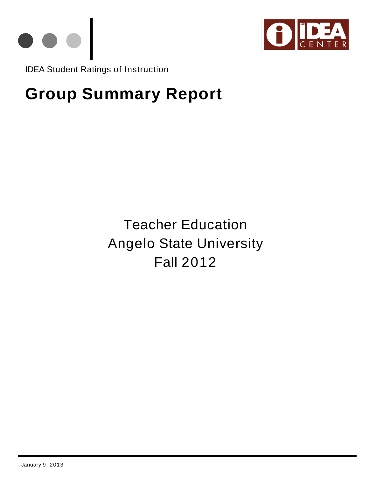



IDEA Student Ratings of Instruction

# **Group Summary Report**

Teacher Education Angelo State University Fall 2012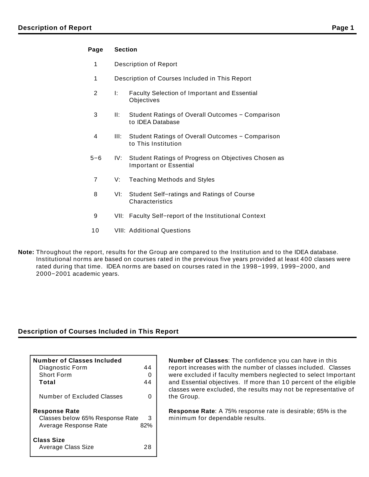#### **Page Section**

- 1 Description of Report
- 1 Description of Courses Included in This Report
- 2 I: Faculty Selection of Important and Essential **Objectives**
- 3 II: Student Ratings of Overall Outcomes − Comparison to IDEA Database
- 4 III: Student Ratings of Overall Outcomes − Comparison to This Institution
- 5−6 IV: Student Ratings of Progress on Objectives Chosen as Important or Essential
	- 7 V: Teaching Methods and Styles
	- 8 VI: Student Self−ratings and Ratings of Course **Characteristics**
	- 9 VII: Faculty Self−report of the Institutional Context
- 10 VIII: Additional Questions
- **Note:** Throughout the report, results for the Group are compared to the Institution and to the IDEA database. Institutional norms are based on courses rated in the previous five years provided at least 400 classes were rated during that time. IDEA norms are based on courses rated in the 1998−1999, 1999−2000, and 2000−2001 academic years.

## **Description of Courses Included in This Report**

| <b>Number of Classes Included</b> |     |
|-----------------------------------|-----|
| Diagnostic Form                   | 44  |
| Short Form                        |     |
| Total                             | 44  |
| Number of Excluded Classes        |     |
| <b>Response Rate</b>              |     |
| Classes below 65% Response Rate   | З   |
| Average Response Rate             | 82% |
| Class Size<br>Average Class Size  | 28  |

**Number of Classes**: The confidence you can have in this report increases with the number of classes included. Classes were excluded if faculty members neglected to select Important and Essential objectives. If more than 10 percent of the eligible classes were excluded, the results may not be representative of the Group.

**Response Rate**: A 75% response rate is desirable; 65% is the minimum for dependable results.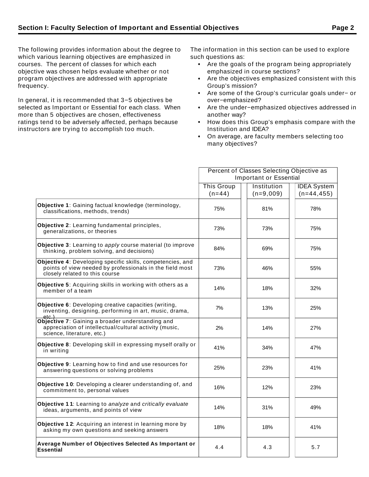The following provides information about the degree to which various learning objectives are emphasized in courses. The percent of classes for which each objective was chosen helps evaluate whether or not program objectives are addressed with appropriate frequency.

In general, it is recommended that 3−5 objectives be selected as Important or Essential for each class. When more than 5 objectives are chosen, effectiveness ratings tend to be adversely affected, perhaps because instructors are trying to accomplish too much.

The information in this section can be used to explore such questions as:

- Are the goals of the program being appropriately emphasized in course sections?
- Are the objectives emphasized consistent with this Group's mission?
- Are some of the Group's curricular goals under− or over−emphasized?
- Are the under−emphasized objectives addressed in another way?
- How does this Group's emphasis compare with the Institution and IDEA?
- On average, are faculty members selecting too many objectives?

|                                                                                                                                                          | Percent of Classes Selecting Objective as |                               |                    |  |  |  |
|----------------------------------------------------------------------------------------------------------------------------------------------------------|-------------------------------------------|-------------------------------|--------------------|--|--|--|
|                                                                                                                                                          |                                           | <b>Important or Essential</b> |                    |  |  |  |
|                                                                                                                                                          | <b>This Group</b>                         | Institution                   | <b>IDEA System</b> |  |  |  |
|                                                                                                                                                          | $(n=44)$                                  | $(n=9,009)$                   | $(n=44, 455)$      |  |  |  |
| Objective 1: Gaining factual knowledge (terminology,<br>classifications, methods, trends)                                                                | 75%                                       | 81%                           | 78%                |  |  |  |
| Objective 2: Learning fundamental principles,<br>generalizations, or theories                                                                            | 73%                                       | 73%                           | 75%                |  |  |  |
| Objective 3: Learning to apply course material (to improve<br>thinking, problem solving, and decisions)                                                  | 84%                                       | 69%                           | 75%                |  |  |  |
| Objective 4: Developing specific skills, competencies, and<br>points of view needed by professionals in the field most<br>closely related to this course | 73%                                       | 46%                           | 55%                |  |  |  |
| Objective 5: Acquiring skills in working with others as a<br>member of a team                                                                            | 14%                                       | 18%                           | 32%                |  |  |  |
| Objective 6: Developing creative capacities (writing,<br>inventing, designing, performing in art, music, drama,<br>etc.                                  | 7%                                        | 13%                           | 25%                |  |  |  |
| Objective 7: Gaining a broader understanding and<br>appreciation of intellectual/cultural activity (music,<br>science, literature, etc.)                 | 2%                                        | 14%                           | 27%                |  |  |  |
| Objective 8: Developing skill in expressing myself orally or<br>in writing                                                                               | 41%                                       | 34%                           | 47%                |  |  |  |
| Objective 9: Learning how to find and use resources for<br>answering questions or solving problems                                                       | 25%                                       | 23%                           | 41%                |  |  |  |
| Objective 10: Developing a clearer understanding of, and<br>commitment to, personal values                                                               | 16%                                       | 12%                           | 23%                |  |  |  |
| Objective 11: Learning to analyze and critically evaluate<br>ideas, arguments, and points of view                                                        | 14%                                       | 31%                           | 49%                |  |  |  |
| Objective 12: Acquiring an interest in learning more by<br>asking my own questions and seeking answers                                                   | 18%                                       | 18%                           | 41%                |  |  |  |
| Average Number of Objectives Selected As Important or<br><b>Essential</b>                                                                                | 4.4                                       | 4.3                           | 5.7                |  |  |  |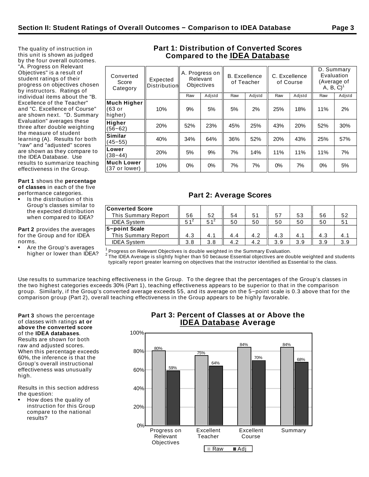The quality of instruction in this unit is shown as judged by the four overall outcomes. "A. Progress on Relevant Objectives" is a result of student ratings of their progress on objectives chosen by instructors. Ratings of individual items about the "B. Excellence of the Teacher" and "C. Excellence of Course" are shown next. "D. Summary Evaluation" averages these three after double weighting the measure of student learning (A). Results for both "raw" and "adjusted" scores are shown as they compare to the IDEA Database. Use results to summarize teaching effectiveness in the Group.

#### **Part 1** shows the **percentage of classes** in each of the five performance categories.

Is the distribution of this Group's classes similar to the expected distribution when compared to IDEA?

**Part 2** provides the averages for the Group and for IDEA norms.

Are the Group's averages higher or lower than IDEA?

## **Part 1: Distribution of Converted Scores Compared to the IDEA Database**

| Converted<br>Score<br>Category   | Expected<br>Distribution | A. Progress on<br>Relevant<br>Objectives |        |     | <b>B.</b> Excellence<br>of Teacher |     | C. Excellence<br>of Course | D. Summary<br>Evaluation<br>(Average of<br>$A, B, C$ <sup>1</sup> |        |  |
|----------------------------------|--------------------------|------------------------------------------|--------|-----|------------------------------------|-----|----------------------------|-------------------------------------------------------------------|--------|--|
|                                  |                          | Raw                                      | Adjstd | Raw | Adjstd                             | Raw | Adjstd                     | Raw                                                               | Adjstd |  |
| Much Higher<br>(63 or<br>higher) | 10%                      | 9%                                       | 5%     | 5%  | 2%                                 | 25% | 18%                        | 11%                                                               | 2%     |  |
| Higher<br>$(56 - 62)$            | 20%                      | 52%                                      | 23%    | 45% | 25%                                | 43% | 20%                        | 52%                                                               | 30%    |  |
| Similar<br>$(45 - 55)$           | 40%                      | 34%                                      | 64%    | 36% | 52%                                | 20% | 43%                        | 25%                                                               | 57%    |  |
| Lower<br>$(38 - 44)$             | 20%                      | 5%                                       | 9%     | 7%  | 14%                                | 11% | 11%                        | 11%                                                               | 7%     |  |
| Much Lower<br>(37 or lower)      | 10%                      | 0%                                       | 0%     | 7%  | 7%                                 | 0%  | 7%                         | 0%                                                                | 5%     |  |
|                                  |                          |                                          |        |     |                                    |     |                            |                                                                   |        |  |

# **Part 2: Average Scores**

| <b>Converted Score</b>     |          |          |     |                |     |     |     |     |
|----------------------------|----------|----------|-----|----------------|-----|-----|-----|-----|
| <b>This Summary Report</b> | 56       | 52       | 54  | 5 <sub>1</sub> | 57  | 53  | 56  | 52  |
| <b>IDEA System</b>         | $51^{2}$ | $51^{2}$ | 50  | 50             | 50  | 50  | 50  |     |
| 5-point Scale              |          |          |     |                |     |     |     |     |
| <b>This Summary Report</b> | 4.3      | 4.1      | 4.4 | 4.2            | 4.3 | 4.1 | 4.3 | 4.  |
| <b>IDEA System</b>         | 3.8      | 3.8      | 4.2 | 4.2            | 3.9 | 3.9 | 3.9 | 3.9 |

 $1$  Progress on Relevant Objectives is double weighted in the Summary Evaluation.

 $^2$  The IDEA Average is slightly higher than 50 because Essential objectives are double weighted and students typically report greater learning on objectives that the instructor identified as Essential to the class.

Use results to summarize teaching effectiveness in the Group. To the degree that the percentages of the Group's classes in the two highest categories exceeds 30% (Part 1), teaching effectiveness appears to be superior to that in the comparison group. Similarly, if the Group's converted average exceeds 55, and its average on the 5−point scale is 0.3 above that for the comparison group (Part 2), overall teaching effectiveness in the Group appears to be highly favorable.

**Part 3** shows the percentage of classes with ratings **at or above the converted score** of the **IDEA databases**. Results are shown for both raw and adjusted scores. When this percentage exceeds 60%, the inference is that the Group's overall instructional effectiveness was unusually high.

Results in this section address the question:

How does the quality of instruction for this Group compare to the national results?

## **Part 3: Percent of Classes at or Above the IDEA Database Average**

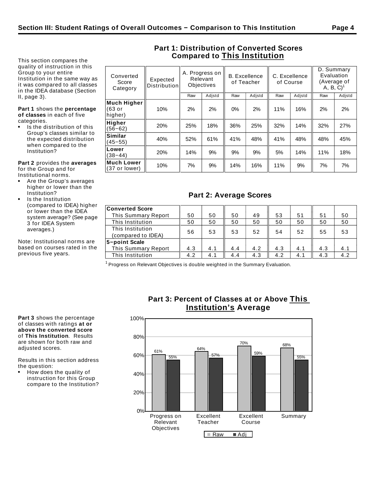This section compares the quality of instruction in this Group to your entire Institution in the same way as it was compared to all classes in the IDEA database (Section II, page 3).

#### **Part 1** shows the **percentage of classes** in each of five categories.

Is the distribution of this Group's classes similar to the expected distribution when compared to the Institution?

**Part 2** provides the **averages** for the Group and for Institutional norms.

- Are the Group's averages higher or lower than the Institution?
- Is the Institution (compared to IDEA) higher or lower than the IDEA system average? (See page 3 for IDEA System averages.)

Note: Institutional norms are based on courses rated in the previous five years.

| Converted<br>Score<br>Category   | Expected<br><b>Distribution</b> |     | A. Progress on<br>Relevant<br><b>Objectives</b> | <b>B.</b> Excellence<br>of Teacher |        | C. Excellence<br>of Course |                | D. Summary<br>Evaluation<br>(Average of<br>$A, B, C$ <sup>1</sup> |        |
|----------------------------------|---------------------------------|-----|-------------------------------------------------|------------------------------------|--------|----------------------------|----------------|-------------------------------------------------------------------|--------|
|                                  |                                 | Raw | Adjstd                                          | Raw                                | Adistd | Raw                        | Adjstd         | Raw                                                               | Adjstd |
| Much Higher<br>(63 or<br>higher) | 10%                             | 2%  | 2%                                              | 0%                                 | 2%     | 11%                        | 16%            | 2%                                                                | 2%     |
| Higher<br>$(56 - 62)$            | 20%                             | 25% | 18%                                             | 36%                                | 25%    | 32%                        | 14%            | 32%                                                               | 27%    |
| Similar<br>$(45 - 55)$           | 40%                             | 52% | 61%                                             | 41%                                | 48%    | 41%                        | 48%            | 48%                                                               | 45%    |
| Lower<br>$(38 - 44)$             | 20%                             | 14% | 9%                                              | 9%                                 | 9%     | 5%                         | 14%            | 11%                                                               | 18%    |
| Much Lower                       | 100/                            | 70/ | 0 <sup>0</sup>                                  | 4.40/                              | 4CO    | 440/                       | 0 <sup>0</sup> | 70/                                                               | 70/    |

## **Part 1: Distribution of Converted Scores Compared to This Institution**

## **Part 2: Average Scores**

|| 10% || 7% || 9% || 14% || 16% || 11% || 9% || 7% || 7%<br>(37 or lower) || 10% || 7% || 9% || 14% || 16% || 11% || 9% || 7% || 7%

| <b>Converted Score</b> |     |     |     |     |     |     |     |     |
|------------------------|-----|-----|-----|-----|-----|-----|-----|-----|
| This Summary Report    | 50  | 50  | 50  | 49  | 53  | 51  | 51  | 50  |
| This Institution       | 50  | 50  | 50  | 50  | 50  | 50  | 50  | 50  |
| This Institution       | 56  | 53  | 53  | 52  | 54  | 52  | 55  | 53  |
| (compared to IDEA)     |     |     |     |     |     |     |     |     |
| 5-point Scale          |     |     |     |     |     |     |     |     |
| This Summary Report    | 4.3 | 4.1 | 4.4 | 4.2 | 4.3 | 4.1 | 4.3 | 4.1 |
| This Institution       | 4.2 | 4.1 | 4.4 | 4.3 | 4.2 | 4.1 | 4.3 | 4.2 |

 $1$  Progress on Relevant Objectives is double weighted in the Summary Evaluation.

**Part 3** shows the percentage of classes with ratings **at or above the converted score** of **This Institution**. Results are shown for both raw and adjusted scores.

Results in this section address the question:

How does the quality of instruction for this Group compare to the Institution?



## **Part 3: Percent of Classes at or Above This Institution's Average**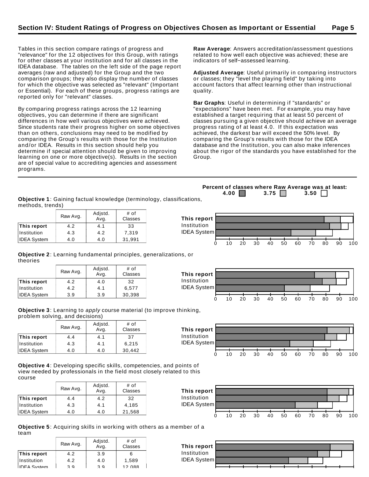Tables in this section compare ratings of progress and "relevance" for the 12 objectives for this Group, with ratings for other classes at your institution and for all classes in the IDEA database. The tables on the left side of the page report averages (raw and adjusted) for the Group and the two comparison groups; they also display the number of classes for which the objective was selected as "relevant" (Important or Essential). For each of these groups, progress ratings are reported only for "relevant" classes.

By comparing progress ratings across the 12 learning objectives, you can determine if there are significant differences in how well various objectives were achieved. Since students rate their progress higher on some objectives than on others, conclusions may need to be modified by comparing the Group's results with those for the Institution and/or IDEA. Results in this section should help you determine if special attention should be given to improving learning on one or more objective(s). Results in the section are of special value to accrediting agencies and assessment programs.

**Raw Average**: Answers accreditation/assessment questions related to how well each objective was achieved; these are indicators of self−assessed learning.

**Adjusted Average**: Useful primarily in comparing instructors or classes; they "level the playing field" by taking into account factors that affect learning other than instructional quality.

**Bar Graphs**: Useful in determining if "standards" or "expectations" have been met. For example, you may have established a target requiring that at least 50 percent of classes pursuing a given objective should achieve an average progress rating of at least 4.0. If this expectation was achieved, the darkest bar will exceed the 50% level. By comparing the Group's results with those for the IDEA database and the Institution, you can also make inferences about the rigor of the standards you have established for the Group.

**Percent of classes where Raw Average was at least: 4.00 3.75 3.50**  $\Box$ 

**Objective 1**: Gaining factual knowledge (terminology, classifications, methods, trends)

|                    | Raw Avg. | Adistd.<br>Avq. | # of<br>Classes  | This report        |    |    |    |    |    |    |    |    |     |
|--------------------|----------|-----------------|------------------|--------------------|----|----|----|----|----|----|----|----|-----|
| This report        | 4.2      | -4. 1           | 33               | Institution        |    |    |    |    |    |    |    |    |     |
| Institution        | 4.3      | 4.2             | $^{\prime}$ ,319 | <b>IDEA System</b> |    |    |    |    |    |    |    |    |     |
| <b>IDEA System</b> | 4.0      | 4.0             | 31,991           |                    |    |    |    |    |    |    |    |    |     |
|                    |          |                 |                  |                    | 20 | 30 | 40 | 50 | 60 | 70 | 80 | 90 | 100 |

**Objective 2**: Learning fundamental principles, generalizations, or theories

|                    | Raw Avg. | Adjstd.<br>Avg. | # of<br>Classes |
|--------------------|----------|-----------------|-----------------|
| This report        | 4.2      | 4.0             | 32              |
| Institution        | 4.2      | 4.1             | 6,577           |
| <b>IDEA System</b> | 3.9      | 3.9             | 30,398          |

**Objective 3**: Learning to apply course material (to improve thinking, problem solving, and decisions)

|                    | Raw Avg. | Adjstd.<br>Avg. | $#$ of<br>Classes |
|--------------------|----------|-----------------|-------------------|
| This report        | 4.4      | 4.1             | 37                |
| Institution        | 4.3      | 4.1             | 6,215             |
| <b>IDEA System</b> | 4.0      | 4.0             | 30,442            |

**Objective 4**: Developing specific skills, competencies, and points of view needed by professionals in the field most closely related to this course

|                    | Raw Avg. | Adjstd.<br>Avg. | # of<br>Classes |
|--------------------|----------|-----------------|-----------------|
| This report        | 4.4      | 4.2             | 32              |
| Institution        | 4.3      | 4.1             | 4.185           |
| <b>IDEA System</b> | 4.0      | 4.0             | 21,568          |



**Objective 5**: Acquiring skills in working with others as a member of a team

|                    | Raw Avg. | Adjstd.<br>Avg. | # of<br>Classes |
|--------------------|----------|-----------------|-----------------|
| This report        | 4.2      | 3.9             | 6               |
| Institution        | 4.2      | 4.0             | 1,589           |
| <b>IDEA</b> System | 2 Q      | 2 Q             | <b>12 088</b>   |



**This report** Institution IDEA System 0 10 20 30 40 50 60 70 80 90 100

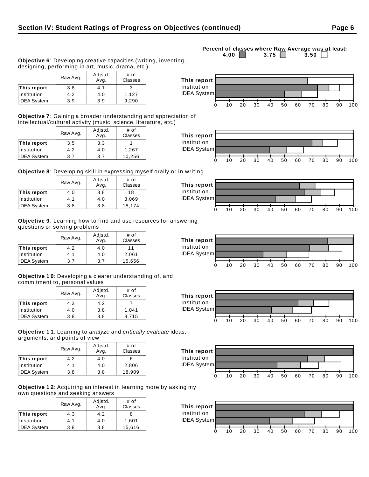**This report** Institution

**This report** Institution IDEA System

**This report** Institution IDEA System

IDEA System



|                    | Raw Avg. | Adjstd.<br>Avg. | # of<br>Classes |
|--------------------|----------|-----------------|-----------------|
| This report        | 3.8      | 4.1             | 3               |
| Institution        | 4.2      | 4.0             | 1,127           |
| <b>IDEA System</b> | 3.9      | 3.9             | 9,290           |

**Objective 7**: Gaining a broader understanding and appreciation of intellectual/cultural activity (music, science, literature, etc.)

|                    | Raw Avg. | Adjstd.<br>Avg. | # of<br>Classes |
|--------------------|----------|-----------------|-----------------|
| This report        | 3.5      | 3.3             |                 |
| Institution        | 4.2      | 4.0             | 1,267           |
| <b>IDEA System</b> | 3.7      | 3.7             | 10,256          |

**Objective 8**: Developing skill in expressing myself orally or in writing

|                    | Raw Avg. | Adjstd.<br>Avg. | $#$ of<br>Classes |
|--------------------|----------|-----------------|-------------------|
| This report        | 4.0      | 3.8             | 18                |
| Institution        | 4.1      | 4.0             | 3,069             |
| <b>IDEA System</b> | 3.8      | 3.8             | 18,174            |

**Objective 9**: Learning how to find and use resources for answering questions or solving problems

|                    | Raw Avg. | Adjstd.<br>Avg. | # of<br>Classes |
|--------------------|----------|-----------------|-----------------|
| This report        | 4.2      | 4.0             | 11              |
| Institution        | 4.1      | 4.0             | 2,061           |
| <b>IDEA System</b> | 3.7      | 3.7             | 15,656          |

**Objective 1 0**: Developing a clearer understanding of, and commitment to, personal values

|                    | Raw Avg. | Adjstd.<br>Avg. | # of<br>Classes |
|--------------------|----------|-----------------|-----------------|
| This report        | 4.3      | 4.2             |                 |
| Institution        | 4.0      | 3.8             | 1.041           |
| <b>IDEA System</b> | 3.8      | 3.8             | 8.715           |

**Objective 1 1**: Learning to analyze and critically evaluate ideas, arguments, and points of view

|                    | Raw Avg. | Adjstd.<br>Avg. | # of<br>Classes |
|--------------------|----------|-----------------|-----------------|
| This report        | 4.2      | 4.0             | 6               |
| Institution        | 4.1      | 4.0             | 2,806           |
| <b>IDEA System</b> | 3.8      | 3.8             | 18,909          |

**Objective 1 2**: Acquiring an interest in learning more by asking my own questions and seeking answers

|                    | Raw Avg. | Adjstd.<br>Avg. | # of<br>Classes |
|--------------------|----------|-----------------|-----------------|
| This report        | 4.3      | 4.2             | 8               |
| Institution        | 4.1      | 4.0             | 1,601           |
| <b>IDEA System</b> | 3.8      | 3.8             | 15,616          |







0 10 20 30 40 50 60 70 80 90 100



**Percent of classes where Raw Average was at least:**<br>4.00 **1** 3.75 3.50 3.75  $\Box$ 







0 10 20 30 40 50 60 70 80 90 100

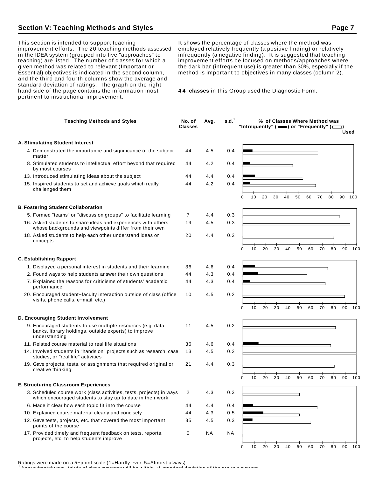## **Section V: Teaching Methods and Styles Page 7 Access Page 7 Access Page 7 Access Page 7**

This section is intended to support teaching improvement efforts. The 20 teaching methods assessed in the IDEA system (grouped into five "approaches" to teaching) are listed. The number of classes for which a given method was related to relevant (Important or Essential) objectives is indicated in the second column, and the third and fourth columns show the average and standard deviation of ratings. The graph on the right hand side of the page contains the information most pertinent to instructional improvement.

It shows the percentage of classes where the method was employed relatively frequently (a positive finding) or relatively infrequently (a negative finding). It is suggested that teaching improvement efforts be focused on methods/approaches where the dark bar (infrequent use) is greater than 30%, especially if the method is important to objectives in many classes (column 2).

**4 4 classes** in this Group used the Diagnostic Form.

| <b>Teaching Methods and Styles</b>                                                                                                   | No. of<br><b>Classes</b> | Avg. | s.d. <sup>1</sup> | % of Classes Where Method was<br>"Infrequently" $($ $\blacksquare$ ) or "Frequently" $($ $\blacksquare$ )<br>Used |
|--------------------------------------------------------------------------------------------------------------------------------------|--------------------------|------|-------------------|-------------------------------------------------------------------------------------------------------------------|
| A. Stimulating Student Interest                                                                                                      |                          |      |                   |                                                                                                                   |
| 4. Demonstrated the importance and significance of the subject<br>matter                                                             | 44                       | 4.5  | 0.4               |                                                                                                                   |
| 8. Stimulated students to intellectual effort beyond that required<br>by most courses                                                | 44                       | 4.2  | 0.4               |                                                                                                                   |
| 13. Introduced stimulating ideas about the subject                                                                                   | 44                       | 4.4  | 0.4               |                                                                                                                   |
| 15. Inspired students to set and achieve goals which really<br>challenged them                                                       | 44                       | 4.2  | 0.4               | 30<br>40<br>50<br>60<br>80<br>100<br>0<br>10<br>20<br>70<br>90                                                    |
| <b>B. Fostering Student Collaboration</b>                                                                                            |                          |      |                   |                                                                                                                   |
| 5. Formed "teams" or "discussion groups" to facilitate learning                                                                      | 7                        | 4.4  | 0.3               |                                                                                                                   |
| 16. Asked students to share ideas and experiences with others<br>whose backgrounds and viewpoints differ from their own              | 19                       | 4.5  | 0.3               |                                                                                                                   |
| 18. Asked students to help each other understand ideas or<br>concepts                                                                | 20                       | 4.4  | 0.2               |                                                                                                                   |
|                                                                                                                                      |                          |      |                   | 20<br>30<br>40<br>90<br>$\Omega$<br>10<br>50<br>60<br>70<br>80<br>100                                             |
| <b>C. Establishing Rapport</b>                                                                                                       |                          |      |                   |                                                                                                                   |
| 1. Displayed a personal interest in students and their learning                                                                      | 36                       | 4.6  | 0.4               |                                                                                                                   |
| 2. Found ways to help students answer their own questions                                                                            | 44                       | 4.3  | 0.4               |                                                                                                                   |
| 7. Explained the reasons for criticisms of students' academic<br>performance                                                         | 44                       | 4.3  | 0.4               |                                                                                                                   |
| 20. Encouraged student-faculty interaction outside of class (office<br>visits, phone calls, e-mail, etc.)                            | 10                       | 4.5  | 0.2               | 10<br>20<br>30<br>40<br>50<br>60<br>70<br>80<br>90<br>100<br>0                                                    |
| D. Encouraging Student Involvement                                                                                                   |                          |      |                   |                                                                                                                   |
| 9. Encouraged students to use multiple resources (e.g. data<br>banks, library holdings, outside experts) to improve<br>understanding | 11                       | 4.5  | 0.2               |                                                                                                                   |
| 11. Related course material to real life situations                                                                                  | 36                       | 4.6  | 0.4               |                                                                                                                   |
| 14. Involved students in "hands on" projects such as research, case<br>studies, or "real life" activities                            | 13                       | 4.5  | 0.2               |                                                                                                                   |
| 19. Gave projects, tests, or assignments that required original or<br>creative thinking                                              | 21                       | 4.4  | 0.3               |                                                                                                                   |
|                                                                                                                                      |                          |      |                   | 20<br>30<br>40<br>50<br>70<br>80<br>90<br>100<br>0<br>10<br>60                                                    |
| E. Structuring Classroom Experiences                                                                                                 |                          |      |                   |                                                                                                                   |
| 3. Scheduled course work (class activities, tests, projects) in ways<br>which encouraged students to stay up to date in their work   | 2                        | 4.3  | 0.3               |                                                                                                                   |
| 6. Made it clear how each topic fit into the course                                                                                  | 44                       | 4.4  | 0.4               |                                                                                                                   |
| 10. Explained course material clearly and concisely                                                                                  | 44                       | 4.3  | 0.5               |                                                                                                                   |
| 12. Gave tests, projects, etc. that covered the most important<br>points of the course                                               | 35                       | 4.5  | 0.3               |                                                                                                                   |
| 17. Provided timely and frequent feedback on tests, reports,<br>projects, etc. to help students improve                              | 0                        | NA   | <b>NA</b>         |                                                                                                                   |
|                                                                                                                                      |                          |      |                   | 70<br>10<br>20<br>30<br>40<br>50<br>60<br>80<br>90<br>100<br>0                                                    |

Ratings were made on a 5−point scale (1=Hardly ever, 5=Almost always)

<sup>1</sup> Approximately two−thirds of class averages will be within 1 standard deviation of the group's average.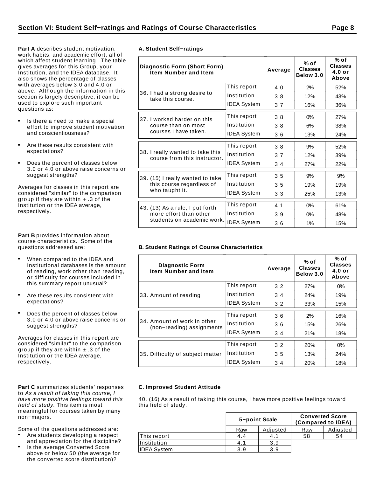**Part A** describes student motivation, work habits, and academic effort, all of which affect student learning. The table gives averages for this Group, your Institution, and the IDEA database. It also shows the percentage of classes with averages below 3.0 and 4.0 or above. Although the information in this section is largely descriptive, it can be used to explore such important questions as:

- Is there a need to make a special effort to improve student motivation and conscientiousness?
- Are these results consistent with expectations?
- Does the percent of classes below  $\bullet$ 3.0 or 4.0 or above raise concerns or suggest strengths?

Averages for classes in this report are considered "similar" to the comparison group if they are within  $\pm$  .3 of the Institution or the IDEA average, respectively.

**Part B** provides information about course characteristics. Some of the questions addressed are:

- When compared to the IDEA and Institutional databases is the amount of reading, work other than reading, or difficulty for courses included in this summary report unusual?
- Are these results consistent with expectations?
- Does the percent of classes below 3.0 or 4.0 or above raise concerns or suggest strengths?

Averages for classes in this report are considered "similar" to the comparison group if they are within  $\pm$  .3 of the Institution or the IDEA average, respectively.

**Part C** summarizes students' responses to As a result of taking this course, I have more positive feelings toward this field of study. This item is most meaningful for courses taken by many non−majors.

Some of the questions addressed are:

- Are students developing a respect and appreciation for the discipline?
- Is the average Converted Score above or below 50 (the average for the converted score distribution)?

|  | A. Student Self-ratings |
|--|-------------------------|
|  |                         |

| <b>Diagnostic Form (Short Form)</b><br><b>Item Number and Item</b> |                    | Average | % of<br><b>Classes</b><br>Below 3.0 | % of<br><b>Classes</b><br>$4.0$ or<br>Above |
|--------------------------------------------------------------------|--------------------|---------|-------------------------------------|---------------------------------------------|
|                                                                    | This report        | 4.0     | 2%                                  | 52%                                         |
| 36. I had a strong desire to<br>take this course.                  | Institution        | 3.8     | 12%                                 | 43%                                         |
|                                                                    | <b>IDEA System</b> | 3.7     | 16%                                 | 36%                                         |
| 37. I worked harder on this                                        | This report        | 3.8     | $0\%$                               | 27%                                         |
| course than on most<br>courses I have taken.                       | Institution        | 3.8     | 6%                                  | 38%                                         |
|                                                                    | <b>IDEA System</b> | 3.6     | 13%                                 | 24%                                         |
|                                                                    | This report        | 3.8     | 9%                                  | 52%                                         |
| 38. I really wanted to take this<br>course from this instructor.   | Institution        | 3.7     | 12%                                 | 39%                                         |
|                                                                    | <b>IDEA System</b> | 3.4     | 27%                                 | 22%                                         |
| 39. (15) I really wanted to take                                   | This report        | 3.5     | 9%                                  | 9%                                          |
| this course regardless of                                          | Institution        | 3.5     | 19%                                 | 19%                                         |
| who taught it.                                                     | <b>IDEA System</b> | 3.3     | 25%                                 | 13%                                         |
| 43. (13) As a rule, I put forth                                    | This report        | 4.1     | $0\%$                               | 61%                                         |
| more effort than other                                             | Institution        | 3.9     | $0\%$                               | 48%                                         |
| students on academic work.                                         | <b>IDEA System</b> | 3.6     | 1%                                  | 15%                                         |

#### **B. Student Ratings of Course Characteristics**

| <b>Diagnostic Form</b><br><b>Item Number and Item</b>    |                    | Average | % of<br><b>Classes</b><br>Below 3.0 | % of<br><b>Classes</b><br>$4.0$ or<br>Above |
|----------------------------------------------------------|--------------------|---------|-------------------------------------|---------------------------------------------|
|                                                          | This report        | 3.2     | <b>27%</b>                          | $0\%$                                       |
| 33. Amount of reading                                    | Institution        | 3.4     | 24%                                 | 19%                                         |
|                                                          | <b>IDEA System</b> | 3.2     | 33%                                 | 15%                                         |
|                                                          | This report        | 3.6     | 2%                                  | 16%                                         |
| 34. Amount of work in other<br>(non-reading) assignments | Institution        | 3.6     | 15%                                 | 26%                                         |
|                                                          | <b>IDEA System</b> | 3.4     | 21%                                 | 18%                                         |
|                                                          | This report        | 3.2     | 20%                                 | 0%                                          |
| 35. Difficulty of subject matter                         | Institution        | 3.5     | 13%                                 | 24%                                         |
|                                                          | <b>IDEA System</b> | 3.4     | 20%                                 | 18%                                         |

#### **C. Improved Student Attitude**

40. (16) As a result of taking this course, I have more positive feelings toward this field of study.

|                    | 5-point Scale |          | <b>Converted Score</b> | (Compared to IDEA) |
|--------------------|---------------|----------|------------------------|--------------------|
|                    | Raw           | Adjusted | Raw                    | Adjusted           |
| This report        | 4.4           | 4.1      | 58                     | 54                 |
| Institution        | 4.1           | 3.9      |                        |                    |
| <b>IDEA System</b> | 3.9           | 3.9      |                        |                    |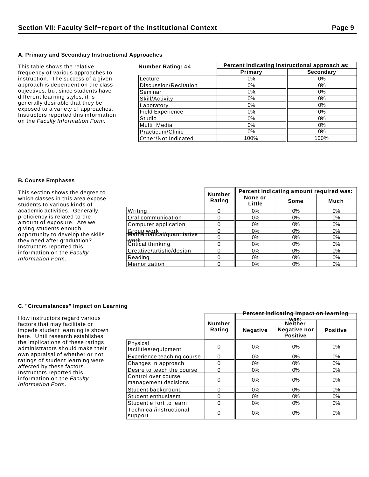#### **A. Primary and Secondary Instructional Approaches**

| This table shows the relative                                                | <b>Number Rating: 44</b> | Percent indicating instructional approach as: |           |  |
|------------------------------------------------------------------------------|--------------------------|-----------------------------------------------|-----------|--|
| frequency of various approaches to                                           |                          | Primary                                       | Secondary |  |
| instruction. The success of a given                                          | Lecture                  | $0\%$                                         | $0\%$     |  |
| approach is dependent on the class                                           | Discussion/Recitation    | $0\%$                                         | $0\%$     |  |
| objectives, but since students have<br>different learning styles, it is      | Seminar                  | $0\%$                                         | 0%        |  |
|                                                                              | Skill/Activity           | $0\%$                                         | 0%        |  |
| generally desirable that they be                                             | Laboratory               | $0\%$                                         | 0%        |  |
| exposed to a variety of approaches.<br>Instructors reported this information | <b>Field Experience</b>  | $0\%$                                         | 0%        |  |
| on the Faculty Information Form.                                             | Studio                   | $0\%$                                         | $0\%$     |  |
|                                                                              | Multi-Media              | $0\%$                                         | 0%        |  |
|                                                                              | Practicum/Clinic         | $0\%$                                         | 0%        |  |
|                                                                              | Other/Not Indicated      | 100%                                          | 100%      |  |

### **B. Course Emphases**

| This section shows the degree to                                                                                                                                                                                                                                             |                                         |                         | Percent indicating amount required was: |       |       |  |
|------------------------------------------------------------------------------------------------------------------------------------------------------------------------------------------------------------------------------------------------------------------------------|-----------------------------------------|-------------------------|-----------------------------------------|-------|-------|--|
| which classes in this area expose<br>students to various kinds of                                                                                                                                                                                                            |                                         | <b>Number</b><br>Rating | None or<br>Little                       | Some  | Much  |  |
| academic activities. Generally,<br>proficiency is related to the<br>amount of exposure. Are we<br>giving students enough<br>opportunity to develop the skills<br>they need after graduation?<br>Instructors reported this<br>information on the Faculty<br>Information Form. | Writing                                 |                         | $0\%$                                   | $0\%$ | $0\%$ |  |
|                                                                                                                                                                                                                                                                              | Oral communication                      |                         | $0\%$                                   | $0\%$ | $0\%$ |  |
|                                                                                                                                                                                                                                                                              | Computer application                    |                         | $0\%$                                   | $0\%$ | $0\%$ |  |
|                                                                                                                                                                                                                                                                              | Group work<br>Mathematical/quantitative |                         | $0\%$                                   | $0\%$ | $0\%$ |  |
|                                                                                                                                                                                                                                                                              |                                         |                         | $0\%$                                   | $0\%$ | $0\%$ |  |
|                                                                                                                                                                                                                                                                              | $\frac{W \cdot W}{W \cdot W \cdot W}$   |                         | 0%                                      | $0\%$ | $0\%$ |  |
|                                                                                                                                                                                                                                                                              | Creative/artistic/design                |                         | $0\%$                                   | $0\%$ | 0%    |  |
|                                                                                                                                                                                                                                                                              | Reading                                 |                         | $0\%$                                   | $0\%$ | 0%    |  |
|                                                                                                                                                                                                                                                                              | Memorization                            |                         | $0\%$                                   | $0\%$ | $0\%$ |  |

## **C. "Circumstances" Impact on Learning**

| How instructors regard various                                                                                                                                                                           |                                             | Percent indicating impact on learning |                 |                                                    |                 |
|----------------------------------------------------------------------------------------------------------------------------------------------------------------------------------------------------------|---------------------------------------------|---------------------------------------|-----------------|----------------------------------------------------|-----------------|
| factors that may facilitate or<br>impede student learning is shown<br>here. Until research establishes                                                                                                   |                                             | <b>Number</b><br>Rating               | <b>Negative</b> | was:<br>Neither<br>Negative nor<br><b>Positive</b> | <b>Positive</b> |
| the implications of these ratings,<br>administrators should make their<br>own appraisal of whether or not<br>ratings of student learning were<br>affected by these factors.<br>Instructors reported this | Physical<br>facilities/equipment            | 0                                     | 0%              | 0%                                                 | $0\%$           |
|                                                                                                                                                                                                          | Experience teaching course                  | $\Omega$                              | $0\%$           | $0\%$                                              | $0\%$           |
|                                                                                                                                                                                                          | Changes in approach                         | 0                                     | $0\%$           | $0\%$                                              | 0%              |
|                                                                                                                                                                                                          | Desire to teach the course                  | 0                                     | $0\%$           | $0\%$                                              | $0\%$           |
| information on the Faculty<br>Information Form.                                                                                                                                                          | Control over course<br>management decisions | 0                                     | $0\%$           | $0\%$<br>$0\%$                                     | 0%              |
|                                                                                                                                                                                                          | Student background<br>$\Omega$              |                                       | $0\%$           |                                                    | $0\%$           |
|                                                                                                                                                                                                          | Student enthusiasm                          | 0                                     | $0\%$           | $0\%$                                              | 0%              |
|                                                                                                                                                                                                          | Student effort to learn                     | 0                                     | $0\%$           | $0\%$                                              | 0%              |
|                                                                                                                                                                                                          | Technical/instructional<br>support          | 0                                     | $0\%$           | 0%                                                 | 0%              |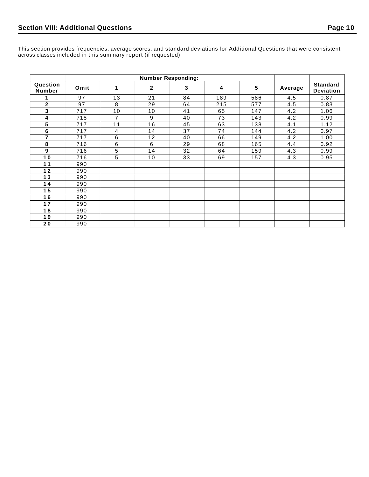This section provides frequencies, average scores, and standard deviations for Additional Questions that were consistent across classes included in this summary report (if requested).

|                           | <b>Number Responding:</b> |                |                |    |     |     |         |                                     |
|---------------------------|---------------------------|----------------|----------------|----|-----|-----|---------|-------------------------------------|
| Question<br><b>Number</b> | Omit                      | 1              | $\overline{2}$ | 3  | 4   | 5   | Average | <b>Standard</b><br><b>Deviation</b> |
|                           | 97                        | 13             | 21             | 84 | 189 | 586 | 4.5     | 0.87                                |
| $\mathbf{2}$              | 97                        | 8              | 29             | 64 | 215 | 577 | 4.5     | 0.83                                |
| 3                         | 717                       | 10             | 10             | 41 | 65  | 147 | 4.2     | 1.06                                |
| 4                         | 718                       | $\overline{7}$ | 9              | 40 | 73  | 143 | 4.2     | 0.99                                |
| 5                         | 717                       | 11             | 16             | 45 | 63  | 138 | 4.1     | 1.12                                |
| 6                         | 717                       | 4              | 14             | 37 | 74  | 144 | 4.2     | 0.97                                |
| 7                         | 717                       | $\,6\,$        | 12             | 40 | 66  | 149 | 4.2     | 1.00                                |
| 8                         | 716                       | 6              | 6              | 29 | 68  | 165 | 4.4     | 0.92                                |
| 9                         | 716                       | $\sqrt{5}$     | 14             | 32 | 64  | 159 | 4.3     | 0.99                                |
| 10                        | 716                       | $\overline{5}$ | 10             | 33 | 69  | 157 | 4.3     | 0.95                                |
| 11                        | 990                       |                |                |    |     |     |         |                                     |
| $12$                      | 990                       |                |                |    |     |     |         |                                     |
| 13                        | 990                       |                |                |    |     |     |         |                                     |
| 14                        | 990                       |                |                |    |     |     |         |                                     |
| 15                        | 990                       |                |                |    |     |     |         |                                     |
| 16                        | 990                       |                |                |    |     |     |         |                                     |
| 17                        | 990                       |                |                |    |     |     |         |                                     |
| 18                        | 990                       |                |                |    |     |     |         |                                     |
| 19                        | 990                       |                |                |    |     |     |         |                                     |
| 20                        | 990                       |                |                |    |     |     |         |                                     |